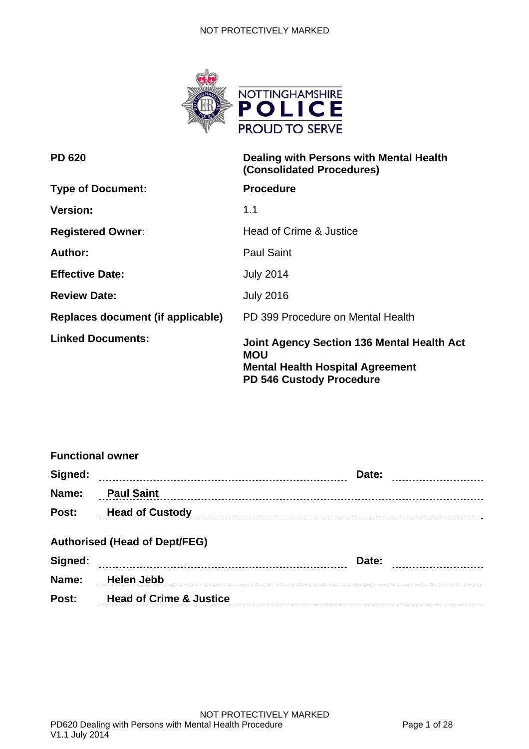

| <b>PD 620</b>                     | Dealing with Persons with Mental Health<br>(Consolidated Procedures)                                                                   |
|-----------------------------------|----------------------------------------------------------------------------------------------------------------------------------------|
| <b>Type of Document:</b>          | <b>Procedure</b>                                                                                                                       |
| <b>Version:</b>                   | 1.1                                                                                                                                    |
| <b>Registered Owner:</b>          | Head of Crime & Justice                                                                                                                |
| Author:                           | <b>Paul Saint</b>                                                                                                                      |
| <b>Effective Date:</b>            | <b>July 2014</b>                                                                                                                       |
| <b>Review Date:</b>               | <b>July 2016</b>                                                                                                                       |
| Replaces document (if applicable) | PD 399 Procedure on Mental Health                                                                                                      |
| <b>Linked Documents:</b>          | <b>Joint Agency Section 136 Mental Health Act</b><br>MOU<br><b>Mental Health Hospital Agreement</b><br><b>PD 546 Custody Procedure</b> |

| <b>Functional owner</b> |                                      |                     |  |
|-------------------------|--------------------------------------|---------------------|--|
| Signed:                 |                                      | Date:               |  |
| Name:                   | <b>Paul Saint</b>                    |                     |  |
|                         | <b>Post:</b> Head of Custody         |                     |  |
|                         | <b>Authorised (Head of Dept/FEG)</b> |                     |  |
| Signed:                 |                                      | Date: <b>Market</b> |  |
| Name:                   | Helen Jebb                           |                     |  |
| Post:                   | <b>Head of Crime &amp; Justice</b>   |                     |  |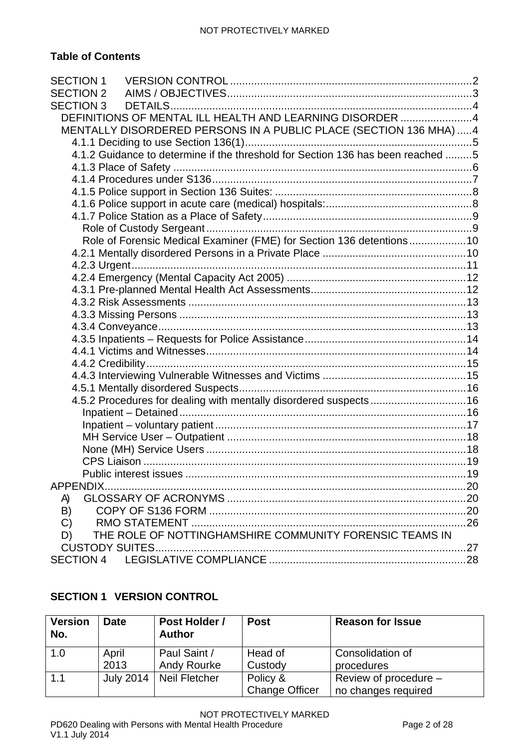# **Table of Contents**

| SECTION 3 |                                                                                 |  |
|-----------|---------------------------------------------------------------------------------|--|
|           | DEFINITIONS OF MENTAL ILL HEALTH AND LEARNING DISORDER 4                        |  |
|           | MENTALLY DISORDERED PERSONS IN A PUBLIC PLACE (SECTION 136 MHA)  4              |  |
|           |                                                                                 |  |
|           | 4.1.2 Guidance to determine if the threshold for Section 136 has been reached 5 |  |
|           |                                                                                 |  |
|           |                                                                                 |  |
|           |                                                                                 |  |
|           |                                                                                 |  |
|           |                                                                                 |  |
|           |                                                                                 |  |
|           | Role of Forensic Medical Examiner (FME) for Section 136 detentions10            |  |
|           |                                                                                 |  |
|           |                                                                                 |  |
|           |                                                                                 |  |
|           |                                                                                 |  |
|           |                                                                                 |  |
|           |                                                                                 |  |
|           |                                                                                 |  |
|           |                                                                                 |  |
|           |                                                                                 |  |
|           |                                                                                 |  |
|           |                                                                                 |  |
|           |                                                                                 |  |
|           | 4.5.2 Procedures for dealing with mentally disordered suspects 16               |  |
|           |                                                                                 |  |
|           |                                                                                 |  |
|           |                                                                                 |  |
|           |                                                                                 |  |
|           |                                                                                 |  |
|           |                                                                                 |  |
| APPENDIX. |                                                                                 |  |
| A)        |                                                                                 |  |
| B)        |                                                                                 |  |
| C)        |                                                                                 |  |
| D)        | THE ROLE OF NOTTINGHAMSHIRE COMMUNITY FORENSIC TEAMS IN                         |  |
|           |                                                                                 |  |
|           |                                                                                 |  |

# <span id="page-1-0"></span>**SECTION 1 VERSION CONTROL**

| <b>Version</b><br>No. | <b>Date</b>   | Post Holder /<br><b>Author</b>     | <b>Post</b>                       | <b>Reason for Issue</b>                      |
|-----------------------|---------------|------------------------------------|-----------------------------------|----------------------------------------------|
| 1.0                   | April<br>2013 | Paul Saint /<br><b>Andy Rourke</b> | Head of<br>Custody                | Consolidation of<br>procedures               |
| 1.1                   | July 2014     | Neil Fletcher                      | Policy &<br><b>Change Officer</b> | Review of procedure -<br>no changes required |

NOT PROTECTIVELY MARKED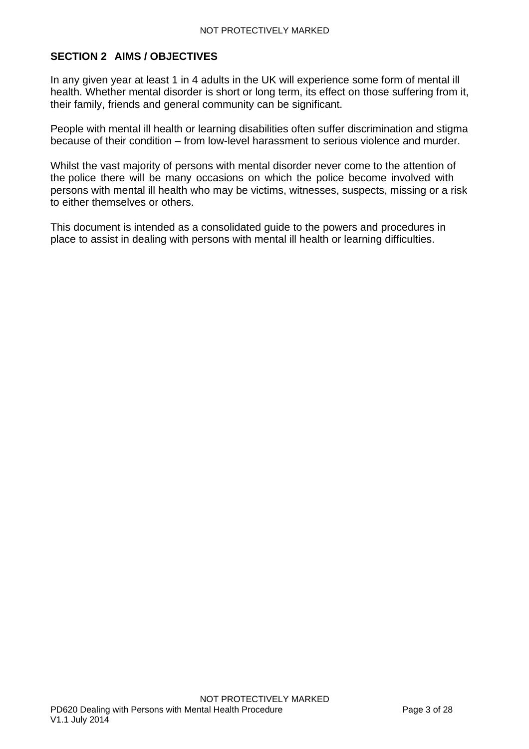# <span id="page-2-0"></span>**SECTION 2 AIMS / OBJECTIVES**

In any given year at least 1 in 4 adults in the UK will experience some form of mental ill health. Whether mental disorder is short or long term, its effect on those suffering from it, their family, friends and general community can be significant.

People with mental ill health or learning disabilities often suffer discrimination and stigma because of their condition – from low-level harassment to serious violence and murder.

Whilst the vast majority of persons with mental disorder never come to the attention of the police there will be many occasions on which the police become involved with persons with mental ill health who may be victims, witnesses, suspects, missing or a risk to either themselves or others.

This document is intended as a consolidated guide to the powers and procedures in place to assist in dealing with persons with mental ill health or learning difficulties.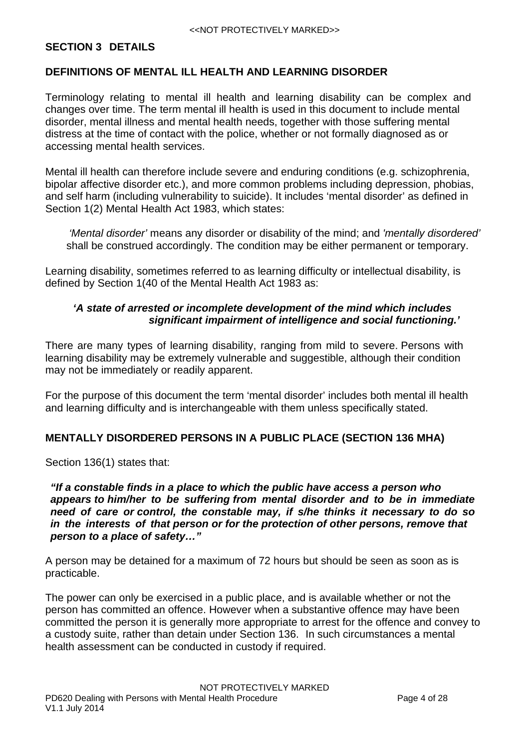## <span id="page-3-0"></span>**SECTION 3 DETAILS**

### <span id="page-3-1"></span>**DEFINITIONS OF MENTAL ILL HEALTH AND LEARNING DISORDER**

Terminology relating to mental ill health and learning disability can be complex and changes over time. The term mental ill health is used in this document to include mental disorder, mental illness and mental health needs, together with those suffering mental distress at the time of contact with the police, whether or not formally diagnosed as or accessing mental health services.

Mental ill health can therefore include severe and enduring conditions (e.g. schizophrenia, bipolar affective disorder etc.), and more common problems including depression, phobias, and self harm (including vulnerability to suicide). It includes 'mental disorder' as defined in Section 1(2) Mental Health Act 1983, which states:

*'Mental disorder'* means any disorder or disability of the mind; and *'mentally disordered'*  shall be construed accordingly. The condition may be either permanent or temporary.

Learning disability, sometimes referred to as learning difficulty or intellectual disability, is defined by Section 1(40 of the Mental Health Act 1983 as:

## *'A state of arrested or incomplete development of the mind which includes significant impairment of intelligence and social functioning.'*

There are many types of learning disability, ranging from mild to severe. Persons with learning disability may be extremely vulnerable and suggestible, although their condition may not be immediately or readily apparent.

For the purpose of this document the term 'mental disorder' includes both mental ill health and learning difficulty and is interchangeable with them unless specifically stated.

## <span id="page-3-2"></span>**MENTALLY DISORDERED PERSONS IN A PUBLIC PLACE (SECTION 136 MHA)**

Section 136(1) states that:

*"If a constable finds in a place to which the public have access a person who appears to him/her to be suffering from mental disorder and to be in immediate need of care or control, the constable may, if s/he thinks it necessary to do so in the interests of that person or for the protection of other persons, remove that person to a place of safety…"*

A person may be detained for a maximum of 72 hours but should be seen as soon as is practicable.

The power can only be exercised in a public place, and is available whether or not the person has committed an offence. However when a substantive offence may have been committed the person it is generally more appropriate to arrest for the offence and convey to a custody suite, rather than detain under Section 136. In such circumstances a mental health assessment can be conducted in custody if required.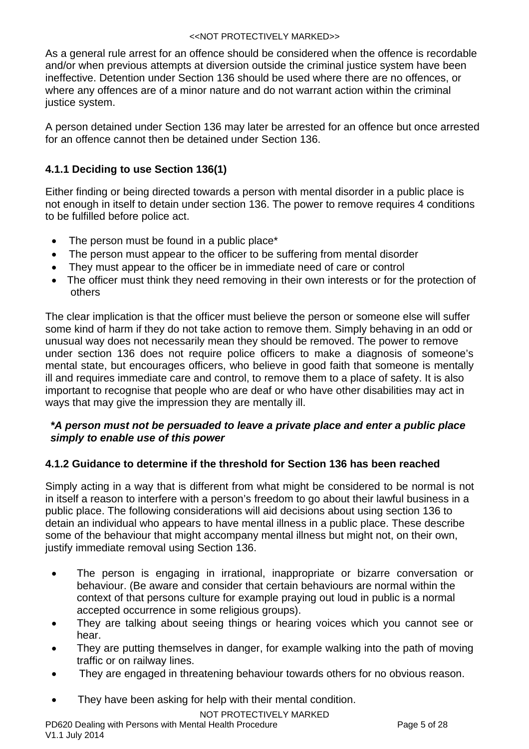As a general rule arrest for an offence should be considered when the offence is recordable and/or when previous attempts at diversion outside the criminal justice system have been ineffective. Detention under Section 136 should be used where there are no offences, or where any offences are of a minor nature and do not warrant action within the criminal justice system.

A person detained under Section 136 may later be arrested for an offence but once arrested for an offence cannot then be detained under Section 136.

# <span id="page-4-0"></span>**4.1.1 Deciding to use Section 136(1)**

Either finding or being directed towards a person with mental disorder in a public place is not enough in itself to detain under section 136. The power to remove requires 4 conditions to be fulfilled before police act.

- The person must be found in a public place\*
- The person must appear to the officer to be suffering from mental disorder
- They must appear to the officer be in immediate need of care or control
- The officer must think they need removing in their own interests or for the protection of others

The clear implication is that the officer must believe the person or someone else will suffer some kind of harm if they do not take action to remove them. Simply behaving in an odd or unusual way does not necessarily mean they should be removed. The power to remove under section 136 does not require police officers to make a diagnosis of someone's mental state, but encourages officers, who believe in good faith that someone is mentally ill and requires immediate care and control, to remove them to a place of safety. It is also important to recognise that people who are deaf or who have other disabilities may act in ways that may give the impression they are mentally ill.

# *\*A person must not be persuaded to leave a private place and enter a public place simply to enable use of this power*

# <span id="page-4-1"></span>**4.1.2 Guidance to determine if the threshold for Section 136 has been reached**

Simply acting in a way that is different from what might be considered to be normal is not in itself a reason to interfere with a person's freedom to go about their lawful business in a public place. The following considerations will aid decisions about using section 136 to detain an individual who appears to have mental illness in a public place. These describe some of the behaviour that might accompany mental illness but might not, on their own, justify immediate removal using Section 136.

- The person is engaging in irrational, inappropriate or bizarre conversation or behaviour. (Be aware and consider that certain behaviours are normal within the context of that persons culture for example praying out loud in public is a normal accepted occurrence in some religious groups).
- They are talking about seeing things or hearing voices which you cannot see or hear.
- They are putting themselves in danger, for example walking into the path of moving traffic or on railway lines.
- They are engaged in threatening behaviour towards others for no obvious reason.
- They have been asking for help with their mental condition.

NOT PROTECTIVELY MARKED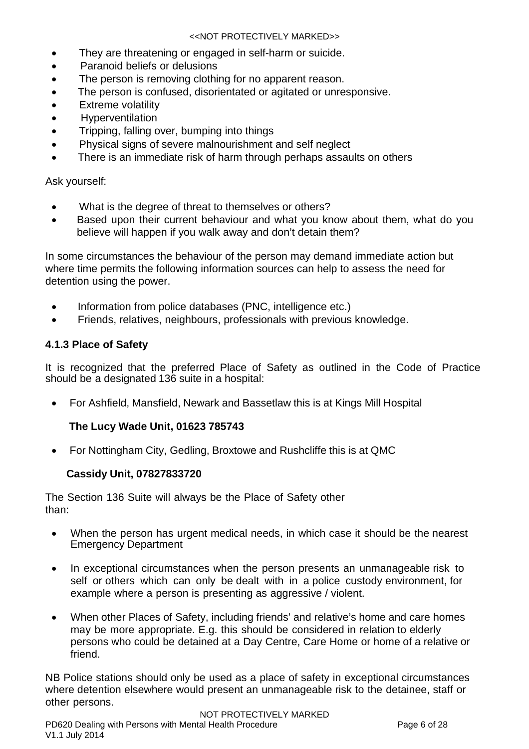- They are threatening or engaged in self-harm or suicide.
- Paranoid beliefs or delusions
- The person is removing clothing for no apparent reason.
- The person is confused, disorientated or agitated or unresponsive.
- **•** Extreme volatility
- Hyperventilation
- Tripping, falling over, bumping into things
- Physical signs of severe malnourishment and self neglect
- There is an immediate risk of harm through perhaps assaults on others

Ask yourself:

- What is the degree of threat to themselves or others?
- Based upon their current behaviour and what you know about them, what do you believe will happen if you walk away and don't detain them?

In some circumstances the behaviour of the person may demand immediate action but where time permits the following information sources can help to assess the need for detention using the power.

- Information from police databases (PNC, intelligence etc.)
- Friends, relatives, neighbours, professionals with previous knowledge.

## <span id="page-5-0"></span>**4.1.3 Place of Safety**

It is recognized that the preferred Place of Safety as outlined in the Code of Practice should be a designated 136 suite in a hospital:

For Ashfield, Mansfield, Newark and Bassetlaw this is at Kings Mill Hospital

## **The Lucy Wade Unit, 01623 785743**

• For Nottingham City, Gedling, Broxtowe and Rushcliffe this is at QMC

## **Cassidy Unit, 07827833720**

The Section 136 Suite will always be the Place of Safety other than:

- When the person has urgent medical needs, in which case it should be the nearest Emergency Department
- In exceptional circumstances when the person presents an unmanageable risk to self or others which can only be dealt with in a police custody environment, for example where a person is presenting as aggressive / violent.
- When other Places of Safety, including friends' and relative's home and care homes may be more appropriate. E.g. this should be considered in relation to elderly persons who could be detained at a Day Centre, Care Home or home of a relative or friend.

NB Police stations should only be used as a place of safety in exceptional circumstances where detention elsewhere would present an unmanageable risk to the detainee, staff or other persons.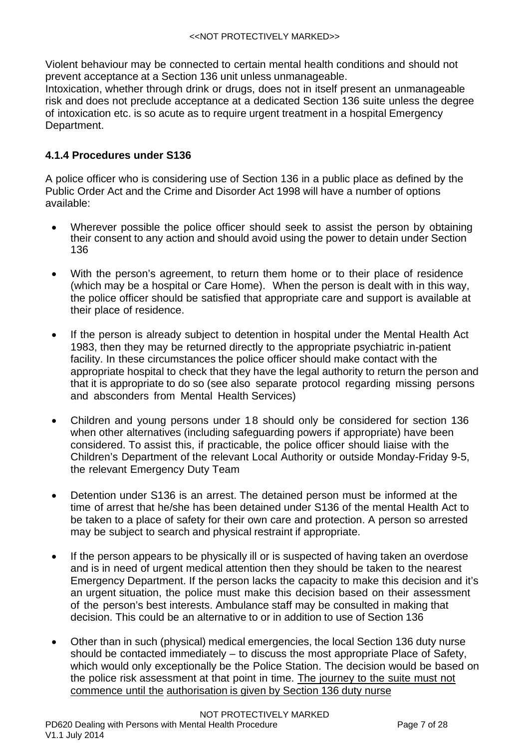Violent behaviour may be connected to certain mental health conditions and should not prevent acceptance at a Section 136 unit unless unmanageable.

Intoxication, whether through drink or drugs, does not in itself present an unmanageable risk and does not preclude acceptance at a dedicated Section 136 suite unless the degree of intoxication etc. is so acute as to require urgent treatment in a hospital Emergency Department.

# <span id="page-6-0"></span>**4.1.4 Procedures under S136**

A police officer who is considering use of Section 136 in a public place as defined by the Public Order Act and the Crime and Disorder Act 1998 will have a number of options available:

- Wherever possible the police officer should seek to assist the person by obtaining their consent to any action and should avoid using the power to detain under Section 136
- With the person's agreement, to return them home or to their place of residence (which may be a hospital or Care Home). When the person is dealt with in this way, the police officer should be satisfied that appropriate care and support is available at their place of residence.
- If the person is already subject to detention in hospital under the Mental Health Act 1983, then they may be returned directly to the appropriate psychiatric in-patient facility. In these circumstances the police officer should make contact with the appropriate hospital to check that they have the legal authority to return the person and that it is appropriate to do so (see also separate protocol regarding missing persons and absconders from Mental Health Services)
- Children and young persons under 18 should only be considered for section 136 when other alternatives (including safeguarding powers if appropriate) have been considered. To assist this, if practicable, the police officer should liaise with the Children's Department of the relevant Local Authority or outside Monday-Friday 9-5, the relevant Emergency Duty Team
- Detention under S136 is an arrest. The detained person must be informed at the time of arrest that he/she has been detained under S136 of the mental Health Act to be taken to a place of safety for their own care and protection. A person so arrested may be subject to search and physical restraint if appropriate.
- If the person appears to be physically ill or is suspected of having taken an overdose and is in need of urgent medical attention then they should be taken to the nearest Emergency Department. If the person lacks the capacity to make this decision and it's an urgent situation, the police must make this decision based on their assessment of the person's best interests. Ambulance staff may be consulted in making that decision. This could be an alternative to or in addition to use of Section 136
- Other than in such (physical) medical emergencies, the local Section 136 duty nurse should be contacted immediately – to discuss the most appropriate Place of Safety, which would only exceptionally be the Police Station. The decision would be based on the police risk assessment at that point in time. The journey to the suite must not commence until the authorisation is given by Section 136 duty nurse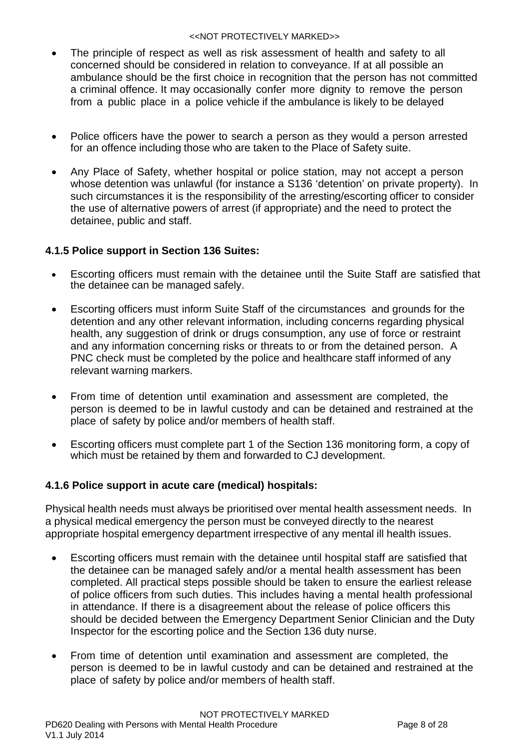- The principle of respect as well as risk assessment of health and safety to all concerned should be considered in relation to conveyance. If at all possible an ambulance should be the first choice in recognition that the person has not committed a criminal offence. It may occasionally confer more dignity to remove the person from a public place in a police vehicle if the ambulance is likely to be delayed
- Police officers have the power to search a person as they would a person arrested for an offence including those who are taken to the Place of Safety suite.
- Any Place of Safety, whether hospital or police station, may not accept a person whose detention was unlawful (for instance a S136 'detention' on private property). In such circumstances it is the responsibility of the arresting/escorting officer to consider the use of alternative powers of arrest (if appropriate) and the need to protect the detainee, public and staff.

# <span id="page-7-0"></span>**4.1.5 Police support in Section 136 Suites:**

- Escorting officers must remain with the detainee until the Suite Staff are satisfied that the detainee can be managed safely.
- Escorting officers must inform Suite Staff of the circumstances and grounds for the detention and any other relevant information, including concerns regarding physical health, any suggestion of drink or drugs consumption, any use of force or restraint and any information concerning risks or threats to or from the detained person. A PNC check must be completed by the police and healthcare staff informed of any relevant warning markers.
- From time of detention until examination and assessment are completed, the person is deemed to be in lawful custody and can be detained and restrained at the place of safety by police and/or members of health staff.
- Escorting officers must complete part 1 of the Section 136 monitoring form, a copy of which must be retained by them and forwarded to CJ development.

# <span id="page-7-1"></span>**4.1.6 Police support in acute care (medical) hospitals:**

Physical health needs must always be prioritised over mental health assessment needs. In a physical medical emergency the person must be conveyed directly to the nearest appropriate hospital emergency department irrespective of any mental ill health issues.

- Escorting officers must remain with the detainee until hospital staff are satisfied that the detainee can be managed safely and/or a mental health assessment has been completed. All practical steps possible should be taken to ensure the earliest release of police officers from such duties. This includes having a mental health professional in attendance. If there is a disagreement about the release of police officers this should be decided between the Emergency Department Senior Clinician and the Duty Inspector for the escorting police and the Section 136 duty nurse.
- From time of detention until examination and assessment are completed, the person is deemed to be in lawful custody and can be detained and restrained at the place of safety by police and/or members of health staff.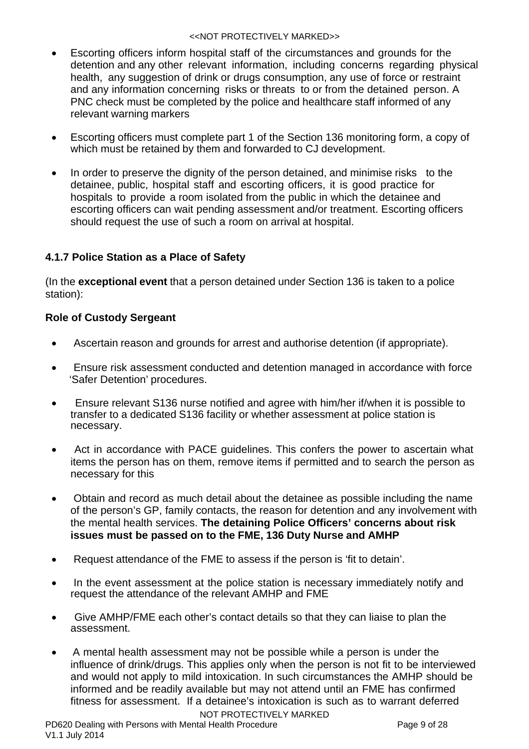- Escorting officers inform hospital staff of the circumstances and grounds for the detention and any other relevant information, including concerns regarding physical health, any suggestion of drink or drugs consumption, any use of force or restraint and any information concerning risks or threats to or from the detained person. A PNC check must be completed by the police and healthcare staff informed of any relevant warning markers
- Escorting officers must complete part 1 of the Section 136 monitoring form, a copy of which must be retained by them and forwarded to CJ development.
- In order to preserve the dignity of the person detained, and minimise risks to the detainee, public, hospital staff and escorting officers, it is good practice for hospitals to provide a room isolated from the public in which the detainee and escorting officers can wait pending assessment and/or treatment. Escorting officers should request the use of such a room on arrival at hospital.

# <span id="page-8-0"></span>**4.1.7 Police Station as a Place of Safety**

(In the **exceptional event** that a person detained under Section 136 is taken to a police station):

# <span id="page-8-1"></span>**Role of Custody Sergeant**

- Ascertain reason and grounds for arrest and authorise detention (if appropriate).
- Ensure risk assessment conducted and detention managed in accordance with force 'Safer Detention' procedures.
- Ensure relevant S136 nurse notified and agree with him/her if/when it is possible to transfer to a dedicated S136 facility or whether assessment at police station is necessary.
- Act in accordance with PACE guidelines. This confers the power to ascertain what items the person has on them, remove items if permitted and to search the person as necessary for this
- Obtain and record as much detail about the detainee as possible including the name of the person's GP, family contacts, the reason for detention and any involvement with the mental health services. **The detaining Police Officers' concerns about risk issues must be passed on to the FME, 136 Duty Nurse and AMHP**
- Request attendance of the FME to assess if the person is 'fit to detain'.
- In the event assessment at the police station is necessary immediately notify and request the attendance of the relevant AMHP and FME
- Give AMHP/FME each other's contact details so that they can liaise to plan the assessment.
- NOT PROTECTIVELY MARKED A mental health assessment may not be possible while a person is under the influence of drink/drugs. This applies only when the person is not fit to be interviewed and would not apply to mild intoxication. In such circumstances the AMHP should be informed and be readily available but may not attend until an FME has confirmed fitness for assessment. If a detainee's intoxication is such as to warrant deferred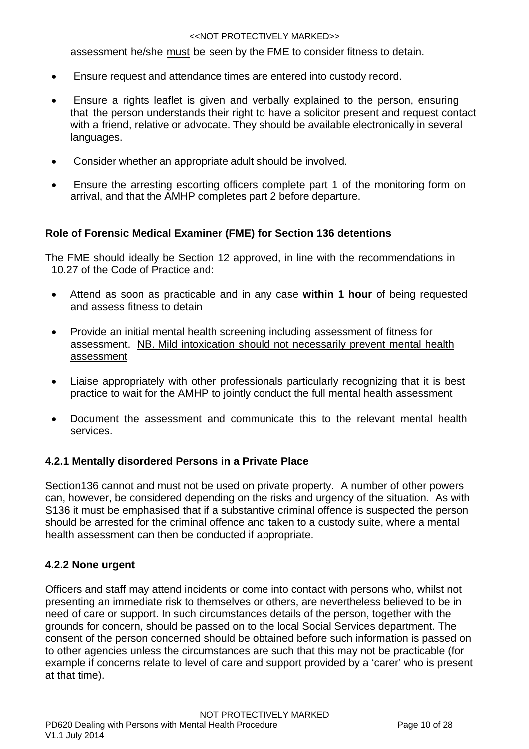assessment he/she must be seen by the FME to consider fitness to detain.

- Ensure request and attendance times are entered into custody record.
- Ensure a rights leaflet is given and verbally explained to the person, ensuring that the person understands their right to have a solicitor present and request contact with a friend, relative or advocate. They should be available electronically in several languages.
- Consider whether an appropriate adult should be involved.
- Ensure the arresting escorting officers complete part 1 of the monitoring form on arrival, and that the AMHP completes part 2 before departure.

# <span id="page-9-0"></span>**Role of Forensic Medical Examiner (FME) for Section 136 detentions**

The FME should ideally be Section 12 approved, in line with the recommendations in 10.27 of the Code of Practice and:

- Attend as soon as practicable and in any case **within 1 hour** of being requested and assess fitness to detain
- Provide an initial mental health screening including assessment of fitness for assessment. NB. Mild intoxication should not necessarily prevent mental health assessment
- Liaise appropriately with other professionals particularly recognizing that it is best practice to wait for the AMHP to jointly conduct the full mental health assessment
- Document the assessment and communicate this to the relevant mental health services.

## <span id="page-9-1"></span>**4.2.1 Mentally disordered Persons in a Private Place**

Section136 cannot and must not be used on private property. A number of other powers can, however, be considered depending on the risks and urgency of the situation. As with S136 it must be emphasised that if a substantive criminal offence is suspected the person should be arrested for the criminal offence and taken to a custody suite, where a mental health assessment can then be conducted if appropriate.

## **4.2.2 None urgent**

Officers and staff may attend incidents or come into contact with persons who, whilst not presenting an immediate risk to themselves or others, are nevertheless believed to be in need of care or support. In such circumstances details of the person, together with the grounds for concern, should be passed on to the local Social Services department. The consent of the person concerned should be obtained before such information is passed on to other agencies unless the circumstances are such that this may not be practicable (for example if concerns relate to level of care and support provided by a 'carer' who is present at that time).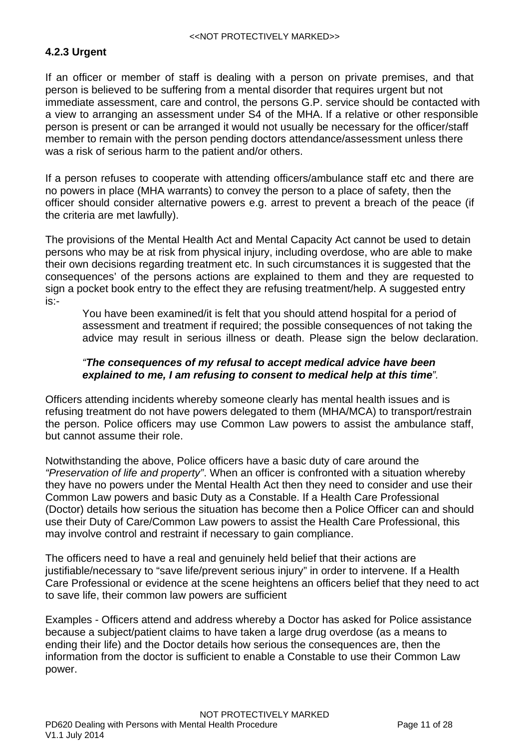# <span id="page-10-0"></span>**4.2.3 Urgent**

If an officer or member of staff is dealing with a person on private premises, and that person is believed to be suffering from a mental disorder that requires urgent but not immediate assessment, care and control, the persons G.P. service should be contacted with a view to arranging an assessment under S4 of the MHA. If a relative or other responsible person is present or can be arranged it would not usually be necessary for the officer/staff member to remain with the person pending doctors attendance/assessment unless there was a risk of serious harm to the patient and/or others.

If a person refuses to cooperate with attending officers/ambulance staff etc and there are no powers in place (MHA warrants) to convey the person to a place of safety, then the officer should consider alternative powers e.g. arrest to prevent a breach of the peace (if the criteria are met lawfully).

The provisions of the Mental Health Act and Mental Capacity Act cannot be used to detain persons who may be at risk from physical injury, including overdose, who are able to make their own decisions regarding treatment etc. In such circumstances it is suggested that the consequences' of the persons actions are explained to them and they are requested to sign a pocket book entry to the effect they are refusing treatment/help. A suggested entry is:-

You have been examined/it is felt that you should attend hospital for a period of assessment and treatment if required; the possible consequences of not taking the advice may result in serious illness or death. Please sign the below declaration.

## *"The consequences of my refusal to accept medical advice have been explained to me, I am refusing to consent to medical help at this time".*

Officers attending incidents whereby someone clearly has mental health issues and is refusing treatment do not have powers delegated to them (MHA/MCA) to transport/restrain the person. Police officers may use Common Law powers to assist the ambulance staff, but cannot assume their role.

Notwithstanding the above, Police officers have a basic duty of care around the *"Preservation of life and property"*. When an officer is confronted with a situation whereby they have no powers under the Mental Health Act then they need to consider and use their Common Law powers and basic Duty as a Constable. If a Health Care Professional (Doctor) details how serious the situation has become then a Police Officer can and should use their Duty of Care/Common Law powers to assist the Health Care Professional, this may involve control and restraint if necessary to gain compliance.

The officers need to have a real and genuinely held belief that their actions are justifiable/necessary to "save life/prevent serious injury" in order to intervene. If a Health Care Professional or evidence at the scene heightens an officers belief that they need to act to save life, their common law powers are sufficient

Examples - Officers attend and address whereby a Doctor has asked for Police assistance because a subject/patient claims to have taken a large drug overdose (as a means to ending their life) and the Doctor details how serious the consequences are, then the information from the doctor is sufficient to enable a Constable to use their Common Law power.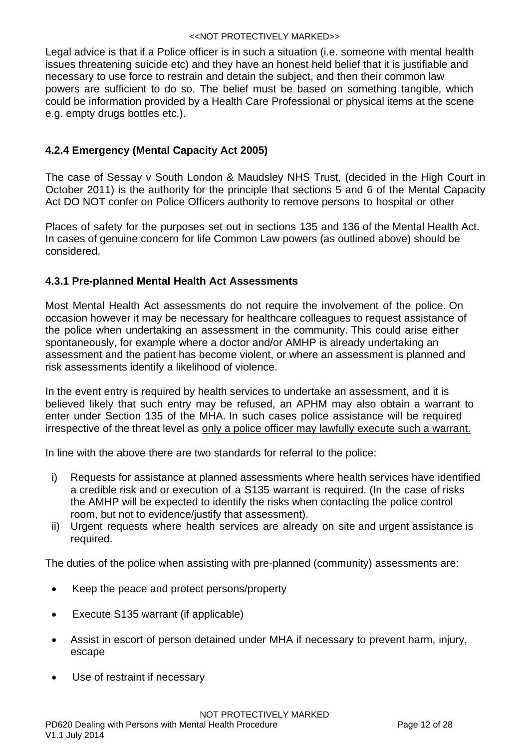Legal advice is that if a Police officer is in such a situation (i.e. someone with mental health issues threatening suicide etc) and they have an honest held belief that it is justifiable and necessary to use force to restrain and detain the subject, and then their common law powers are sufficient to do so. The belief must be based on something tangible, which could be information provided by a Health Care Professional or physical items at the scene e.g. empty drugs bottles etc.).

# <span id="page-11-0"></span>**4.2.4 Emergency (Mental Capacity Act 2005)**

The case of Sessay v South London & Maudsley NHS Trust, (decided in the High Court in October 2011) is the authority for the principle that sections 5 and 6 of the Mental Capacity Act DO NOT confer on Police Officers authority to remove persons to hospital or other

Places of safety for the purposes set out in sections 135 and 136 of the Mental Health Act. In cases of genuine concern for life Common Law powers (as outlined above) should be considered.

## <span id="page-11-1"></span>**4.3.1 Pre-planned Mental Health Act Assessments**

Most Mental Health Act assessments do not require the involvement of the police. On occasion however it may be necessary for healthcare colleagues to request assistance of the police when undertaking an assessment in the community. This could arise either spontaneously, for example where a doctor and/or AMHP is already undertaking an assessment and the patient has become violent, or where an assessment is planned and risk assessments identify a likelihood of violence.

In the event entry is required by health services to undertake an assessment, and it is believed likely that such entry may be refused, an APHM may also obtain a warrant to enter under Section 135 of the MHA. In such cases police assistance will be required irrespective of the threat level as only a police officer may lawfully execute such a warrant.

In line with the above there are two standards for referral to the police:

- i) Requests for assistance at planned assessments where health services have identified a credible risk and or execution of a S135 warrant is required. (In the case of risks the AMHP will be expected to identify the risks when contacting the police control room, but not to evidence/justify that assessment).
- ii) Urgent requests where health services are already on site and urgent assistance is required.

The duties of the police when assisting with pre-planned (community) assessments are:

- Keep the peace and protect persons/property
- Execute S135 warrant (if applicable)
- Assist in escort of person detained under MHA if necessary to prevent harm, injury, escape
- Use of restraint if necessary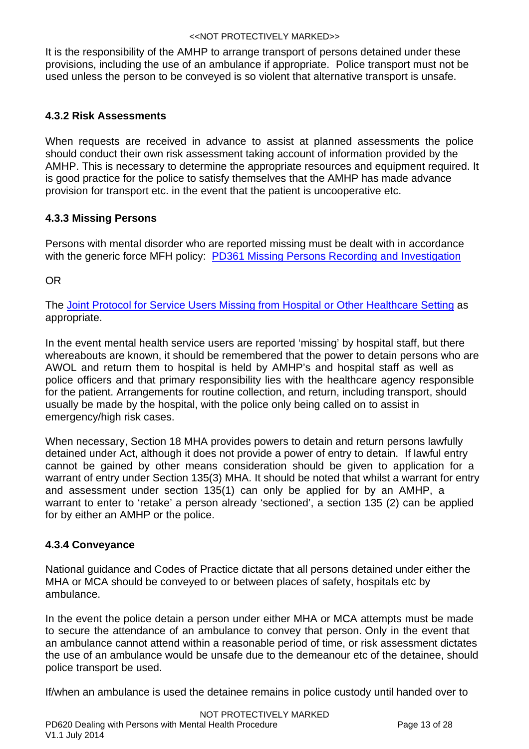It is the responsibility of the AMHP to arrange transport of persons detained under these provisions, including the use of an ambulance if appropriate. Police transport must not be used unless the person to be conveyed is so violent that alternative transport is unsafe.

# <span id="page-12-0"></span>**4.3.2 Risk Assessments**

When requests are received in advance to assist at planned assessments the police should conduct their own risk assessment taking account of information provided by the AMHP. This is necessary to determine the appropriate resources and equipment required. It is good practice for the police to satisfy themselves that the AMHP has made advance provision for transport etc. in the event that the patient is uncooperative etc.

# <span id="page-12-1"></span>**4.3.3 Missing Persons**

Persons with mental disorder who are reported missing must be dealt with in accordance with the generic force MFH policy: **[PD361 Missing Persons Recording and Investigation](http://intranet/Departments/BusinessFinance/corporatelibrary/ProceduresGuides/Policing/InvestigatingAndDetecting/PD 361 Missing Persons Recording and Investigation Procedure v2.4 Oct 2013.pdf?zoom_highlight=pd+361#search="pd 361" )** 

OR

The [Joint Protocol for Service Users Missing from Hospital or Other Healthcare Setting](http://intranet/Departments/BusinessFinance/corporatelibrary/ProceduresGuides/Policing/PartnershipWorking/Missing_from_Hospital_Joint_Protocol_2012.pdf) as appropriate.

In the event mental health service users are reported 'missing' by hospital staff, but there whereabouts are known, it should be remembered that the power to detain persons who are AWOL and return them to hospital is held by AMHP's and hospital staff as well as police officers and that primary responsibility lies with the healthcare agency responsible for the patient. Arrangements for routine collection, and return, including transport, should usually be made by the hospital, with the police only being called on to assist in emergency/high risk cases.

When necessary, Section 18 MHA provides powers to detain and return persons lawfully detained under Act, although it does not provide a power of entry to detain. If lawful entry cannot be gained by other means consideration should be given to application for a warrant of entry under Section 135(3) MHA. It should be noted that whilst a warrant for entry and assessment under section 135(1) can only be applied for by an AMHP, a warrant to enter to 'retake' a person already 'sectioned', a section 135 (2) can be applied for by either an AMHP or the police.

# <span id="page-12-2"></span>**4.3.4 Conveyance**

National guidance and Codes of Practice dictate that all persons detained under either the MHA or MCA should be conveyed to or between places of safety, hospitals etc by ambulance.

In the event the police detain a person under either MHA or MCA attempts must be made to secure the attendance of an ambulance to convey that person. Only in the event that an ambulance cannot attend within a reasonable period of time, or risk assessment dictates the use of an ambulance would be unsafe due to the demeanour etc of the detainee, should police transport be used.

If/when an ambulance is used the detainee remains in police custody until handed over to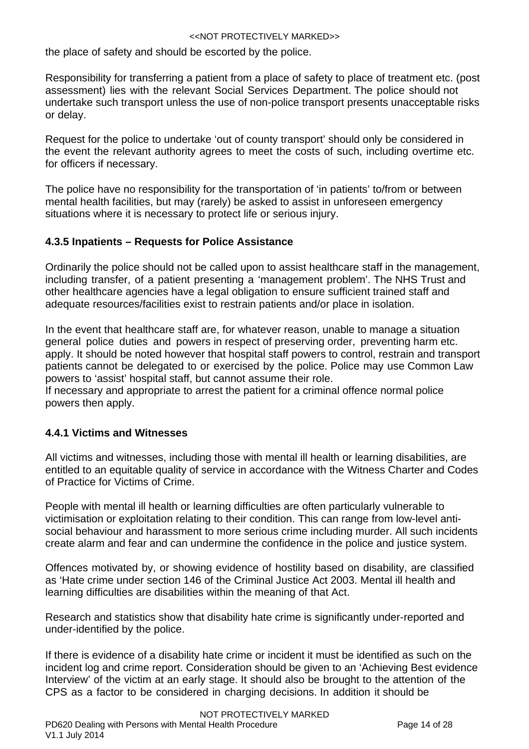the place of safety and should be escorted by the police.

Responsibility for transferring a patient from a place of safety to place of treatment etc. (post assessment) lies with the relevant Social Services Department. The police should not undertake such transport unless the use of non-police transport presents unacceptable risks or delay.

Request for the police to undertake 'out of county transport' should only be considered in the event the relevant authority agrees to meet the costs of such, including overtime etc. for officers if necessary.

The police have no responsibility for the transportation of 'in patients' to/from or between mental health facilities, but may (rarely) be asked to assist in unforeseen emergency situations where it is necessary to protect life or serious injury.

# <span id="page-13-0"></span>**4.3.5 Inpatients – Requests for Police Assistance**

Ordinarily the police should not be called upon to assist healthcare staff in the management, including transfer, of a patient presenting a 'management problem'. The NHS Trust and other healthcare agencies have a legal obligation to ensure sufficient trained staff and adequate resources/facilities exist to restrain patients and/or place in isolation.

In the event that healthcare staff are, for whatever reason, unable to manage a situation general police duties and powers in respect of preserving order, preventing harm etc. apply. It should be noted however that hospital staff powers to control, restrain and transport patients cannot be delegated to or exercised by the police. Police may use Common Law powers to 'assist' hospital staff, but cannot assume their role.

If necessary and appropriate to arrest the patient for a criminal offence normal police powers then apply.

# <span id="page-13-1"></span>**4.4.1 Victims and Witnesses**

All victims and witnesses, including those with mental ill health or learning disabilities, are entitled to an equitable quality of service in accordance with the Witness Charter and Codes of Practice for Victims of Crime.

People with mental ill health or learning difficulties are often particularly vulnerable to victimisation or exploitation relating to their condition. This can range from low-level antisocial behaviour and harassment to more serious crime including murder. All such incidents create alarm and fear and can undermine the confidence in the police and justice system.

Offences motivated by, or showing evidence of hostility based on disability, are classified as 'Hate crime under section 146 of the Criminal Justice Act 2003. Mental ill health and learning difficulties are disabilities within the meaning of that Act.

Research and statistics show that disability hate crime is significantly under-reported and under-identified by the police.

If there is evidence of a disability hate crime or incident it must be identified as such on the incident log and crime report. Consideration should be given to an 'Achieving Best evidence Interview' of the victim at an early stage. It should also be brought to the attention of the CPS as a factor to be considered in charging decisions. In addition it should be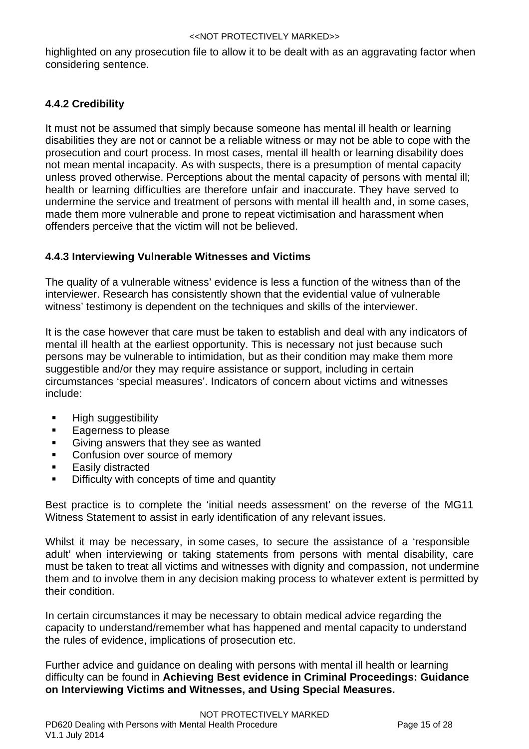highlighted on any prosecution file to allow it to be dealt with as an aggravating factor when considering sentence.

# <span id="page-14-0"></span>**4.4.2 Credibility**

It must not be assumed that simply because someone has mental ill health or learning disabilities they are not or cannot be a reliable witness or may not be able to cope with the prosecution and court process. In most cases, mental ill health or learning disability does not mean mental incapacity. As with suspects, there is a presumption of mental capacity unless proved otherwise. Perceptions about the mental capacity of persons with mental ill; health or learning difficulties are therefore unfair and inaccurate. They have served to undermine the service and treatment of persons with mental ill health and, in some cases, made them more vulnerable and prone to repeat victimisation and harassment when offenders perceive that the victim will not be believed.

# <span id="page-14-1"></span>**4.4.3 Interviewing Vulnerable Witnesses and Victims**

The quality of a vulnerable witness' evidence is less a function of the witness than of the interviewer. Research has consistently shown that the evidential value of vulnerable witness' testimony is dependent on the techniques and skills of the interviewer.

It is the case however that care must be taken to establish and deal with any indicators of mental ill health at the earliest opportunity. This is necessary not just because such persons may be vulnerable to intimidation, but as their condition may make them more suggestible and/or they may require assistance or support, including in certain circumstances 'special measures'. Indicators of concern about victims and witnesses include:

- **High suggestibility**
- **Eagerness to please**
- **Giving answers that they see as wanted**
- **Confusion over source of memory**
- Easily distracted
- Difficulty with concepts of time and quantity

Best practice is to complete the 'initial needs assessment' on the reverse of the MG11 Witness Statement to assist in early identification of any relevant issues.

Whilst it may be necessary, in some cases, to secure the assistance of a 'responsible adult' when interviewing or taking statements from persons with mental disability, care must be taken to treat all victims and witnesses with dignity and compassion, not undermine them and to involve them in any decision making process to whatever extent is permitted by their condition.

In certain circumstances it may be necessary to obtain medical advice regarding the capacity to understand/remember what has happened and mental capacity to understand the rules of evidence, implications of prosecution etc.

Further advice and guidance on dealing with persons with mental ill health or learning difficulty can be found in **Achieving Best evidence in Criminal Proceedings: Guidance on Interviewing Victims and Witnesses, and Using Special Measures.**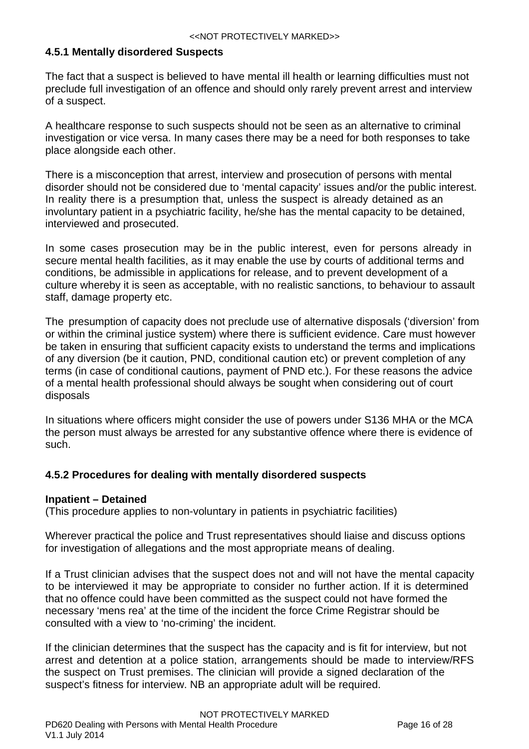## <span id="page-15-0"></span>**4.5.1 Mentally disordered Suspects**

The fact that a suspect is believed to have mental ill health or learning difficulties must not preclude full investigation of an offence and should only rarely prevent arrest and interview of a suspect.

A healthcare response to such suspects should not be seen as an alternative to criminal investigation or vice versa. In many cases there may be a need for both responses to take place alongside each other.

There is a misconception that arrest, interview and prosecution of persons with mental disorder should not be considered due to 'mental capacity' issues and/or the public interest. In reality there is a presumption that, unless the suspect is already detained as an involuntary patient in a psychiatric facility, he/she has the mental capacity to be detained, interviewed and prosecuted.

In some cases prosecution may be in the public interest, even for persons already in secure mental health facilities, as it may enable the use by courts of additional terms and conditions, be admissible in applications for release, and to prevent development of a culture whereby it is seen as acceptable, with no realistic sanctions, to behaviour to assault staff, damage property etc.

The presumption of capacity does not preclude use of alternative disposals ('diversion' from or within the criminal justice system) where there is sufficient evidence. Care must however be taken in ensuring that sufficient capacity exists to understand the terms and implications of any diversion (be it caution, PND, conditional caution etc) or prevent completion of any terms (in case of conditional cautions, payment of PND etc.). For these reasons the advice of a mental health professional should always be sought when considering out of court disposals

In situations where officers might consider the use of powers under S136 MHA or the MCA the person must always be arrested for any substantive offence where there is evidence of such.

## <span id="page-15-1"></span>**4.5.2 Procedures for dealing with mentally disordered suspects**

## <span id="page-15-2"></span>**Inpatient – Detained**

(This procedure applies to non-voluntary in patients in psychiatric facilities)

Wherever practical the police and Trust representatives should liaise and discuss options for investigation of allegations and the most appropriate means of dealing.

If a Trust clinician advises that the suspect does not and will not have the mental capacity to be interviewed it may be appropriate to consider no further action. If it is determined that no offence could have been committed as the suspect could not have formed the necessary 'mens rea' at the time of the incident the force Crime Registrar should be consulted with a view to 'no-criming' the incident.

If the clinician determines that the suspect has the capacity and is fit for interview, but not arrest and detention at a police station, arrangements should be made to interview/RFS the suspect on Trust premises. The clinician will provide a signed declaration of the suspect's fitness for interview. NB an appropriate adult will be required.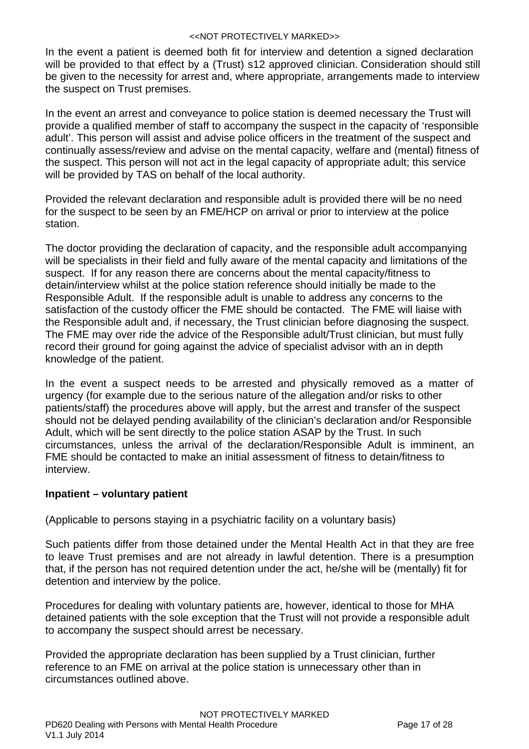In the event a patient is deemed both fit for interview and detention a signed declaration will be provided to that effect by a (Trust) s12 approved clinician. Consideration should still be given to the necessity for arrest and, where appropriate, arrangements made to interview the suspect on Trust premises.

In the event an arrest and conveyance to police station is deemed necessary the Trust will provide a qualified member of staff to accompany the suspect in the capacity of 'responsible adult'. This person will assist and advise police officers in the treatment of the suspect and continually assess/review and advise on the mental capacity, welfare and (mental) fitness of the suspect. This person will not act in the legal capacity of appropriate adult; this service will be provided by TAS on behalf of the local authority.

Provided the relevant declaration and responsible adult is provided there will be no need for the suspect to be seen by an FME/HCP on arrival or prior to interview at the police station.

The doctor providing the declaration of capacity, and the responsible adult accompanying will be specialists in their field and fully aware of the mental capacity and limitations of the suspect. If for any reason there are concerns about the mental capacity/fitness to detain/interview whilst at the police station reference should initially be made to the Responsible Adult. If the responsible adult is unable to address any concerns to the satisfaction of the custody officer the FME should be contacted. The FME will liaise with the Responsible adult and, if necessary, the Trust clinician before diagnosing the suspect. The FME may over ride the advice of the Responsible adult/Trust clinician, but must fully record their ground for going against the advice of specialist advisor with an in depth knowledge of the patient.

In the event a suspect needs to be arrested and physically removed as a matter of urgency (for example due to the serious nature of the allegation and/or risks to other patients/staff) the procedures above will apply, but the arrest and transfer of the suspect should not be delayed pending availability of the clinician's declaration and/or Responsible Adult, which will be sent directly to the police station ASAP by the Trust. In such circumstances, unless the arrival of the declaration/Responsible Adult is imminent, an FME should be contacted to make an initial assessment of fitness to detain/fitness to interview.

## <span id="page-16-0"></span>**Inpatient – voluntary patient**

(Applicable to persons staying in a psychiatric facility on a voluntary basis)

Such patients differ from those detained under the Mental Health Act in that they are free to leave Trust premises and are not already in lawful detention. There is a presumption that, if the person has not required detention under the act, he/she will be (mentally) fit for detention and interview by the police.

Procedures for dealing with voluntary patients are, however, identical to those for MHA detained patients with the sole exception that the Trust will not provide a responsible adult to accompany the suspect should arrest be necessary.

Provided the appropriate declaration has been supplied by a Trust clinician, further reference to an FME on arrival at the police station is unnecessary other than in circumstances outlined above.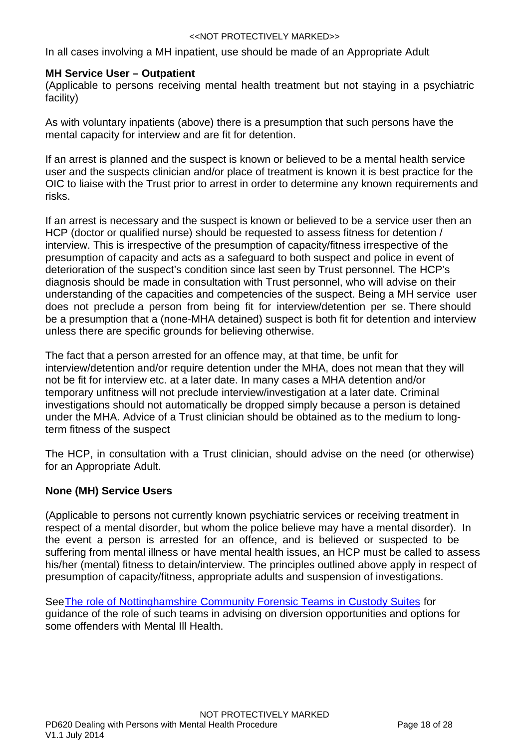In all cases involving a MH inpatient, use should be made of an Appropriate Adult

## <span id="page-17-0"></span>**MH Service User – Outpatient**

(Applicable to persons receiving mental health treatment but not staying in a psychiatric facility)

As with voluntary inpatients (above) there is a presumption that such persons have the mental capacity for interview and are fit for detention.

If an arrest is planned and the suspect is known or believed to be a mental health service user and the suspects clinician and/or place of treatment is known it is best practice for the OIC to liaise with the Trust prior to arrest in order to determine any known requirements and risks.

If an arrest is necessary and the suspect is known or believed to be a service user then an HCP (doctor or qualified nurse) should be requested to assess fitness for detention / interview. This is irrespective of the presumption of capacity/fitness irrespective of the presumption of capacity and acts as a safeguard to both suspect and police in event of deterioration of the suspect's condition since last seen by Trust personnel. The HCP's diagnosis should be made in consultation with Trust personnel, who will advise on their understanding of the capacities and competencies of the suspect. Being a MH service user does not preclude a person from being fit for interview/detention per se. There should be a presumption that a (none-MHA detained) suspect is both fit for detention and interview unless there are specific grounds for believing otherwise.

The fact that a person arrested for an offence may, at that time, be unfit for interview/detention and/or require detention under the MHA, does not mean that they will not be fit for interview etc. at a later date. In many cases a MHA detention and/or temporary unfitness will not preclude interview/investigation at a later date. Criminal investigations should not automatically be dropped simply because a person is detained under the MHA. Advice of a Trust clinician should be obtained as to the medium to longterm fitness of the suspect

The HCP, in consultation with a Trust clinician, should advise on the need (or otherwise) for an Appropriate Adult.

## <span id="page-17-1"></span>**None (MH) Service Users**

(Applicable to persons not currently known psychiatric services or receiving treatment in respect of a mental disorder, but whom the police believe may have a mental disorder). In the event a person is arrested for an offence, and is believed or suspected to be suffering from mental illness or have mental health issues, an HCP must be called to assess his/her (mental) fitness to detain/interview. The principles outlined above apply in respect of presumption of capacity/fitness, appropriate adults and suspension of investigations.

SeeThe role of Nottinghamshire Community Forensic Teams in Custody Suites for guidance of the role of such teams in advising on diversion opportunities and options for some offenders with Mental Ill Health.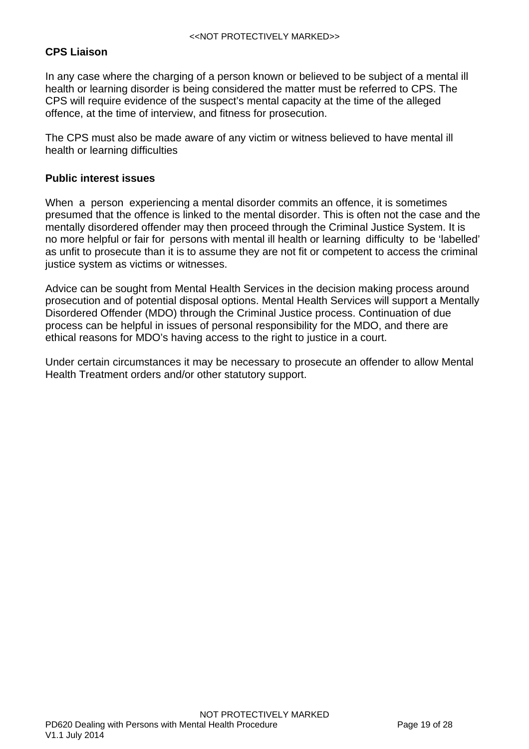# <span id="page-18-0"></span>**CPS Liaison**

In any case where the charging of a person known or believed to be subject of a mental ill health or learning disorder is being considered the matter must be referred to CPS. The CPS will require evidence of the suspect's mental capacity at the time of the alleged offence, at the time of interview, and fitness for prosecution.

The CPS must also be made aware of any victim or witness believed to have mental ill health or learning difficulties

## <span id="page-18-1"></span>**Public interest issues**

When a person experiencing a mental disorder commits an offence, it is sometimes presumed that the offence is linked to the mental disorder. This is often not the case and the mentally disordered offender may then proceed through the Criminal Justice System. It is no more helpful or fair for persons with mental ill health or learning difficulty to be 'labelled' as unfit to prosecute than it is to assume they are not fit or competent to access the criminal justice system as victims or witnesses.

Advice can be sought from Mental Health Services in the decision making process around prosecution and of potential disposal options. Mental Health Services will support a Mentally Disordered Offender (MDO) through the Criminal Justice process. Continuation of due process can be helpful in issues of personal responsibility for the MDO, and there are ethical reasons for MDO's having access to the right to justice in a court.

Under certain circumstances it may be necessary to prosecute an offender to allow Mental Health Treatment orders and/or other statutory support.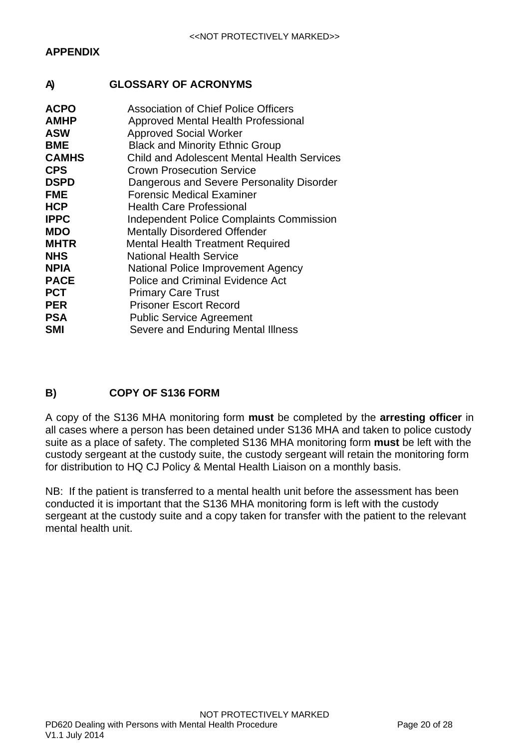# <span id="page-19-1"></span><span id="page-19-0"></span>**A) GLOSSARY OF ACRONYMS**

| <b>ACPO</b>  | <b>Association of Chief Police Officers</b>        |
|--------------|----------------------------------------------------|
| <b>AMHP</b>  | Approved Mental Health Professional                |
| <b>ASW</b>   | <b>Approved Social Worker</b>                      |
| <b>BME</b>   | <b>Black and Minority Ethnic Group</b>             |
| <b>CAMHS</b> | <b>Child and Adolescent Mental Health Services</b> |
| <b>CPS</b>   | <b>Crown Prosecution Service</b>                   |
| <b>DSPD</b>  | Dangerous and Severe Personality Disorder          |
| <b>FME</b>   | Forensic Medical Examiner                          |
| <b>HCP</b>   | <b>Health Care Professional</b>                    |
| <b>IPPC</b>  | <b>Independent Police Complaints Commission</b>    |
| <b>MDO</b>   | <b>Mentally Disordered Offender</b>                |
| <b>MHTR</b>  | <b>Mental Health Treatment Required</b>            |
| <b>NHS</b>   | <b>National Health Service</b>                     |
| <b>NPIA</b>  | National Police Improvement Agency                 |
| <b>PACE</b>  | <b>Police and Criminal Evidence Act</b>            |
| <b>PCT</b>   | <b>Primary Care Trust</b>                          |
| <b>PER</b>   | <b>Prisoner Escort Record</b>                      |
| <b>PSA</b>   | <b>Public Service Agreement</b>                    |
| <b>SMI</b>   | Severe and Enduring Mental Illness                 |

# <span id="page-19-2"></span>**B) COPY OF S136 FORM**

A copy of the S136 MHA monitoring form **must** be completed by the **arresting officer** in all cases where a person has been detained under S136 MHA and taken to police custody suite as a place of safety. The completed S136 MHA monitoring form **must** be left with the custody sergeant at the custody suite, the custody sergeant will retain the monitoring form for distribution to HQ CJ Policy & Mental Health Liaison on a monthly basis.

NB: If the patient is transferred to a mental health unit before the assessment has been conducted it is important that the S136 MHA monitoring form is left with the custody sergeant at the custody suite and a copy taken for transfer with the patient to the relevant mental health unit.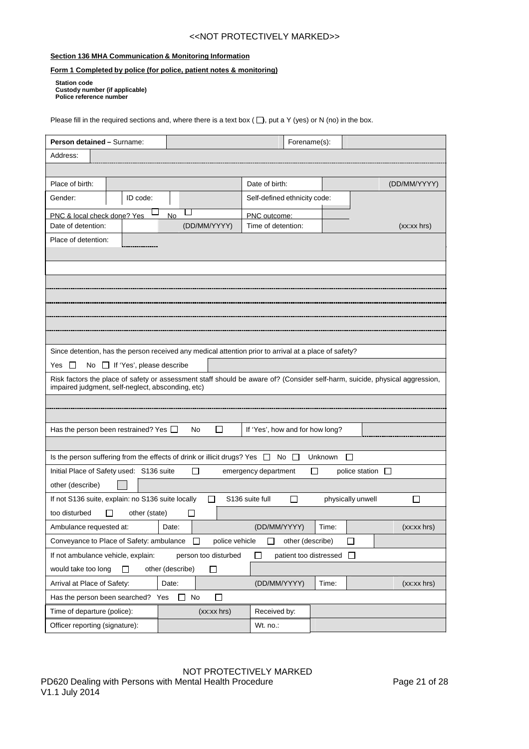#### **Section 136 MHA Communication & Monitoring Information**

#### **Form 1 Completed by police (for police, patient notes & monitoring)**

**Station code Custody number (if applicable) Police reference number**

Please fill in the required sections and, where there is a text box ( $\Box$ ), put a Y (yes) or N (no) in the box.

| Person detained - Surname:                                                                                                                                                       |                                                                                                                    | Forename(s):                                       |                            |               |  |
|----------------------------------------------------------------------------------------------------------------------------------------------------------------------------------|--------------------------------------------------------------------------------------------------------------------|----------------------------------------------------|----------------------------|---------------|--|
| Address:                                                                                                                                                                         |                                                                                                                    |                                                    |                            |               |  |
|                                                                                                                                                                                  |                                                                                                                    |                                                    |                            |               |  |
| Place of birth:                                                                                                                                                                  |                                                                                                                    | Date of birth:                                     |                            | (DD/MM/YYYY)  |  |
| Gender:<br>ID code:                                                                                                                                                              |                                                                                                                    | Self-defined ethnicity code:                       |                            |               |  |
| PNC & local check done? Yes                                                                                                                                                      | No                                                                                                                 | PNC outcome:                                       |                            |               |  |
| Date of detention:                                                                                                                                                               | (DD/MM/YYYY)                                                                                                       | Time of detention:                                 |                            | (xx:xx hrs)   |  |
| Place of detention:                                                                                                                                                              |                                                                                                                    |                                                    |                            |               |  |
|                                                                                                                                                                                  |                                                                                                                    |                                                    |                            |               |  |
|                                                                                                                                                                                  |                                                                                                                    |                                                    |                            |               |  |
|                                                                                                                                                                                  |                                                                                                                    |                                                    |                            |               |  |
|                                                                                                                                                                                  |                                                                                                                    |                                                    |                            |               |  |
|                                                                                                                                                                                  |                                                                                                                    |                                                    |                            |               |  |
|                                                                                                                                                                                  |                                                                                                                    |                                                    |                            |               |  |
|                                                                                                                                                                                  |                                                                                                                    |                                                    |                            |               |  |
| Since detention, has the person received any medical attention prior to arrival at a place of safety?                                                                            |                                                                                                                    |                                                    |                            |               |  |
| No $\Box$ If 'Yes', please describe<br>Yes<br>$\perp$                                                                                                                            |                                                                                                                    |                                                    |                            |               |  |
| Risk factors the place of safety or assessment staff should be aware of? (Consider self-harm, suicide, physical aggression,<br>impaired judgment, self-neglect, absconding, etc) |                                                                                                                    |                                                    |                            |               |  |
|                                                                                                                                                                                  |                                                                                                                    |                                                    |                            |               |  |
|                                                                                                                                                                                  |                                                                                                                    |                                                    |                            |               |  |
| Has the person been restrained? Yes $\Box$                                                                                                                                       | П<br>No                                                                                                            | If 'Yes', how and for how long?                    |                            |               |  |
|                                                                                                                                                                                  |                                                                                                                    |                                                    |                            |               |  |
|                                                                                                                                                                                  | Is the person suffering from the effects of drink or illicit drugs? Yes $\Box$<br>$No$ $\Box$<br>Unknown<br>$\Box$ |                                                    |                            |               |  |
| Initial Place of Safety used: S136 suite                                                                                                                                         |                                                                                                                    | emergency department                               | П<br>police station $\Box$ |               |  |
| other (describe)                                                                                                                                                                 |                                                                                                                    |                                                    |                            |               |  |
| If not S136 suite, explain: no S136 suite locally                                                                                                                                | П                                                                                                                  | S136 suite full<br>П                               | physically unwell          | П             |  |
| too disturbed<br>other (state)                                                                                                                                                   | ΙI                                                                                                                 |                                                    |                            |               |  |
| Ambulance requested at:                                                                                                                                                          | Date:                                                                                                              | (DD/MM/YYYY)                                       | Time:                      | $(xx:xx$ hrs) |  |
| Conveyance to Place of Safety: ambulance                                                                                                                                         | police vehicle<br>П                                                                                                | other (describe)                                   | $\Box$                     |               |  |
| If not ambulance vehicle, explain:                                                                                                                                               | person too disturbed                                                                                               | patient too distressed<br>$\overline{\phantom{a}}$ | $\perp$                    |               |  |
| would take too long<br>п                                                                                                                                                         | other (describe)<br>$\Box$                                                                                         |                                                    |                            |               |  |
| Arrival at Place of Safety:                                                                                                                                                      | Date:                                                                                                              | (DD/MM/YYYY)                                       | Time:                      | (xx:xx hrs)   |  |
| Has the person been searched? Yes                                                                                                                                                | No<br>□<br>ΙI                                                                                                      |                                                    |                            |               |  |
| Time of departure (police):                                                                                                                                                      | $(xx:xx$ hrs)                                                                                                      | Received by:                                       |                            |               |  |
| Officer reporting (signature):                                                                                                                                                   |                                                                                                                    | Wt. no.:                                           |                            |               |  |

NOT PROTECTIVELY MARKED PD620 Dealing with Persons with Mental Health Procedure **Page 21 of 28** Page 21 of 28 V1.1 July 2014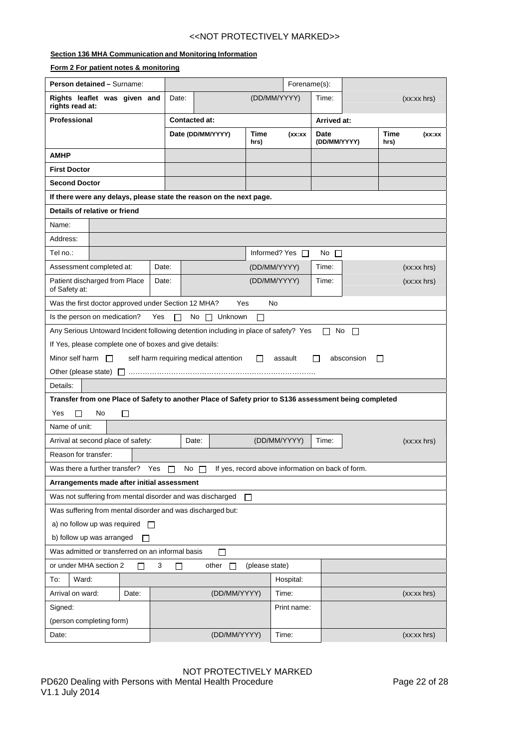#### **Section 136 MHA Communication and Monitoring Information**

| Form 2 For patient notes & monitoring                                                                 |                                                                                                                |                                    |                      |              |              |                      |                      |  |              |             |
|-------------------------------------------------------------------------------------------------------|----------------------------------------------------------------------------------------------------------------|------------------------------------|----------------------|--------------|--------------|----------------------|----------------------|--|--------------|-------------|
| Person detained - Surname:                                                                            |                                                                                                                |                                    |                      |              |              | Forename(s):         |                      |  |              |             |
| Rights leaflet was given and<br>rights read at:                                                       |                                                                                                                | Date:                              |                      |              |              | (DD/MM/YYYY)         | Time:                |  |              | (xx:xx hrs) |
| Professional                                                                                          |                                                                                                                |                                    | <b>Contacted at:</b> |              |              |                      | Arrived at:          |  |              |             |
|                                                                                                       |                                                                                                                |                                    | Date (DD/MM/YYYY)    |              | Time<br>hrs) | (xx:xx               | Date<br>(DD/MM/YYYY) |  | Time<br>hrs) | (xx:xx      |
| AMHP                                                                                                  |                                                                                                                |                                    |                      |              |              |                      |                      |  |              |             |
| <b>First Doctor</b>                                                                                   |                                                                                                                |                                    |                      |              |              |                      |                      |  |              |             |
| <b>Second Doctor</b>                                                                                  |                                                                                                                |                                    |                      |              |              |                      |                      |  |              |             |
| If there were any delays, please state the reason on the next page.                                   |                                                                                                                |                                    |                      |              |              |                      |                      |  |              |             |
| Details of relative or friend                                                                         |                                                                                                                |                                    |                      |              |              |                      |                      |  |              |             |
| Name:                                                                                                 |                                                                                                                |                                    |                      |              |              |                      |                      |  |              |             |
| Address:                                                                                              |                                                                                                                |                                    |                      |              |              |                      |                      |  |              |             |
| Tel no.:                                                                                              |                                                                                                                |                                    |                      |              |              | Informed? Yes $\Box$ | No $\Box$            |  |              |             |
| Assessment completed at:                                                                              |                                                                                                                | Date:                              |                      |              |              | (DD/MM/YYYY)         | Time:                |  |              | (xx:xx hrs) |
| Patient discharged from Place<br>of Safety at:                                                        |                                                                                                                | Date:                              |                      |              |              | (DD/MM/YYYY)         | Time:                |  |              | (xx:xx hrs) |
| Was the first doctor approved under Section 12 MHA?                                                   |                                                                                                                |                                    |                      | Yes          |              | No                   |                      |  |              |             |
| Is the person on medication?                                                                          | Yes<br>No $\Box$ Unknown<br>П<br>$\perp$                                                                       |                                    |                      |              |              |                      |                      |  |              |             |
|                                                                                                       | Any Serious Untoward Incident following detention including in place of safety? Yes<br>No<br>$\Box$<br>$\perp$ |                                    |                      |              |              |                      |                      |  |              |             |
|                                                                                                       | If Yes, please complete one of boxes and give details:                                                         |                                    |                      |              |              |                      |                      |  |              |             |
| Minor self harm $\Box$                                                                                | self harm requiring medical attention<br>П<br>assault<br>absconsion<br>П<br>$\sqcup$                           |                                    |                      |              |              |                      |                      |  |              |             |
|                                                                                                       |                                                                                                                |                                    |                      |              |              |                      |                      |  |              |             |
| Details:                                                                                              |                                                                                                                |                                    |                      |              |              |                      |                      |  |              |             |
| Transfer from one Place of Safety to another Place of Safety prior to S136 assessment being completed |                                                                                                                |                                    |                      |              |              |                      |                      |  |              |             |
| Yes<br>No<br>П                                                                                        | $\Box$                                                                                                         |                                    |                      |              |              |                      |                      |  |              |             |
| Name of unit:                                                                                         |                                                                                                                |                                    |                      |              |              |                      |                      |  |              |             |
| Arrival at second place of safety:                                                                    | (DD/MM/YYYY)<br>Date:<br>(xx:xx hrs)<br>Time:                                                                  |                                    |                      |              |              |                      |                      |  |              |             |
| Reason for transfer:                                                                                  |                                                                                                                |                                    |                      |              |              |                      |                      |  |              |             |
|                                                                                                       | Was there a further transfer?<br>If yes, record above information on back of form.<br>Yes<br>No                |                                    |                      |              |              |                      |                      |  |              |             |
|                                                                                                       | Arrangements made after initial assessment                                                                     |                                    |                      |              |              |                      |                      |  |              |             |
|                                                                                                       | Was not suffering from mental disorder and was discharged<br>П                                                 |                                    |                      |              |              |                      |                      |  |              |             |
|                                                                                                       | Was suffering from mental disorder and was discharged but:                                                     |                                    |                      |              |              |                      |                      |  |              |             |
|                                                                                                       | a) no follow up was required $\Box$                                                                            |                                    |                      |              |              |                      |                      |  |              |             |
|                                                                                                       | b) follow up was arranged                                                                                      |                                    |                      |              |              |                      |                      |  |              |             |
| Was admitted or transferred on an informal basis<br>□                                                 |                                                                                                                |                                    |                      |              |              |                      |                      |  |              |             |
| or under MHA section 2                                                                                | ΙI                                                                                                             | 3<br>other<br>(please state)<br>ΙI |                      |              |              |                      |                      |  |              |             |
| To:<br>Ward:                                                                                          |                                                                                                                |                                    |                      |              |              | Hospital:            |                      |  |              |             |
| Arrival on ward:                                                                                      | Date:                                                                                                          |                                    |                      | (DD/MM/YYYY) |              | Time:                |                      |  |              | (xx:xx hrs) |
| Signed:                                                                                               |                                                                                                                |                                    |                      |              |              | Print name:          |                      |  |              |             |
| (person completing form)                                                                              |                                                                                                                |                                    |                      |              |              |                      |                      |  |              |             |
|                                                                                                       |                                                                                                                |                                    |                      |              |              |                      |                      |  |              |             |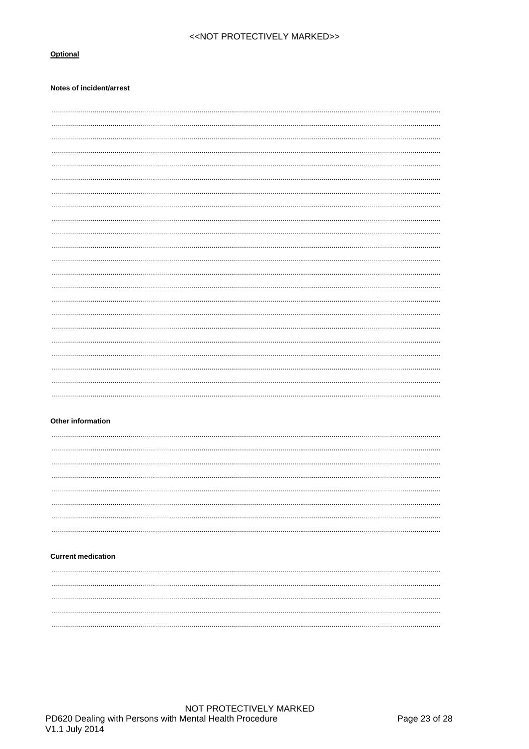#### Optional

#### Notes of incident/arrest

. . . . . . . . . 

#### Other information

#### **Current medication**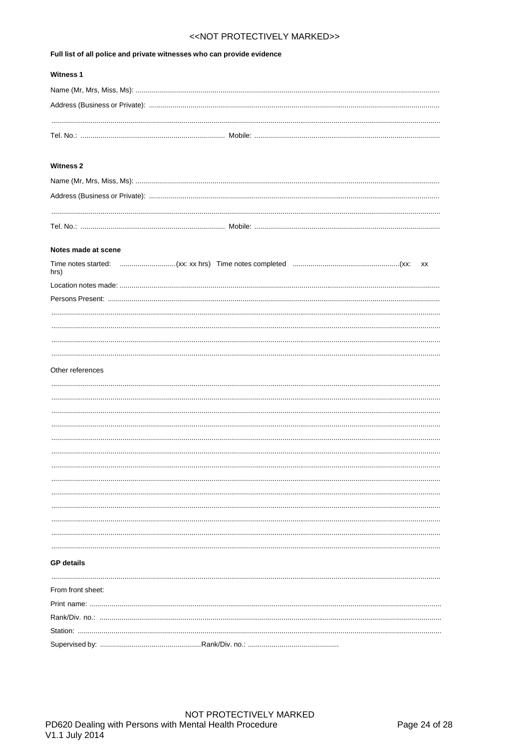#### Full list of all police and private witnesses who can provide evidence

| <b>Witness 1</b> |  |
|------------------|--|
|                  |  |
|                  |  |
|                  |  |
|                  |  |

#### Witness 2

#### Notes made at scene

| hrs)             |  |  |  |  |
|------------------|--|--|--|--|
|                  |  |  |  |  |
|                  |  |  |  |  |
|                  |  |  |  |  |
|                  |  |  |  |  |
|                  |  |  |  |  |
|                  |  |  |  |  |
|                  |  |  |  |  |
| Other references |  |  |  |  |
|                  |  |  |  |  |
|                  |  |  |  |  |
|                  |  |  |  |  |
|                  |  |  |  |  |
|                  |  |  |  |  |
|                  |  |  |  |  |
|                  |  |  |  |  |
|                  |  |  |  |  |
|                  |  |  |  |  |
|                  |  |  |  |  |
|                  |  |  |  |  |
|                  |  |  |  |  |
|                  |  |  |  |  |
|                  |  |  |  |  |

#### **GP** details

| From front sheet: |  |
|-------------------|--|
|                   |  |
|                   |  |
|                   |  |
|                   |  |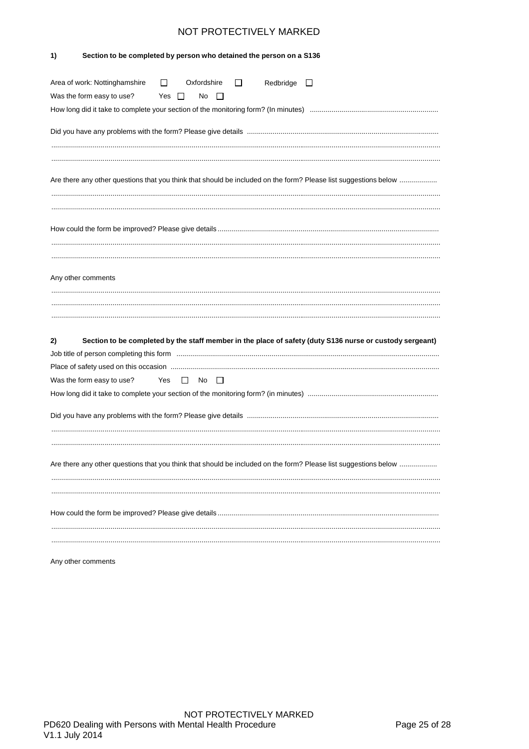| Section to be completed by person who detained the person on a S136<br>1)                                                                                                                |
|------------------------------------------------------------------------------------------------------------------------------------------------------------------------------------------|
| Area of work: Nottinghamshire<br>Oxfordshire<br>Redbridge<br>$\Box$<br>П<br>$\Box$<br>Was the form easy to use?<br>Yes $\Box$<br>No<br>$\perp$                                           |
|                                                                                                                                                                                          |
| Are there any other questions that you think that should be included on the form? Please list suggestions below                                                                          |
|                                                                                                                                                                                          |
| Any other comments                                                                                                                                                                       |
| Section to be completed by the staff member in the place of safety (duty S136 nurse or custody sergeant)<br>2)<br>Was the form easy to use?<br>Yes<br>No<br>$\mathbf{L}$<br>$\mathbf{L}$ |
|                                                                                                                                                                                          |
| Are there any other questions that you think that should be included on the form? Please list suggestions below                                                                          |
|                                                                                                                                                                                          |

Any other comments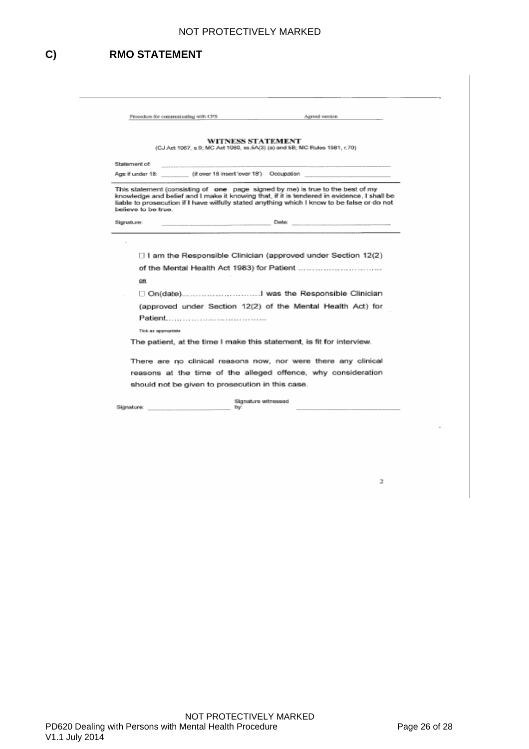# <span id="page-25-0"></span>**C) RMO STATEMENT**

| Procedure for communicating with CPS             | Agreed version                                                                                                                                                                                                                                                              |
|--------------------------------------------------|-----------------------------------------------------------------------------------------------------------------------------------------------------------------------------------------------------------------------------------------------------------------------------|
|                                                  | WITNESS STATEMENT<br>(CJ Act 1967, s.9; MC Act 1980, ss.5A(3) (a) and 5B; MC Rules 1981, r.70).                                                                                                                                                                             |
| Statement of:                                    |                                                                                                                                                                                                                                                                             |
|                                                  | Age if under 18: (if over 18 insert 'over 18') Occupation                                                                                                                                                                                                                   |
| believe to be true.                              | This statement (consisting of one page signed by me) is true to the best of my<br>knowledge and belief and I make it knowing that, if it is tendered in evidence, I shall be<br>liable to prosecution if I have wilfully stated anything which I know to be false or do not |
| Signature:                                       | <u>Date: Date: Date: Date: Date: Date: Date: Date: Date: Date: Date: Date: Date: Date: Date: Date: Date: Date: Date: Date: Date: Date: Date: Date: Date: Date: Date: Date: Date: Date: Date: Date: Date: Date: Date: Date: Date:</u>                                        |
| QB                                               |                                                                                                                                                                                                                                                                             |
|                                                  |                                                                                                                                                                                                                                                                             |
|                                                  | (approved under Section 12(2) of the Mental Health Act) for                                                                                                                                                                                                                 |
|                                                  |                                                                                                                                                                                                                                                                             |
|                                                  |                                                                                                                                                                                                                                                                             |
| Tick as appropriate                              |                                                                                                                                                                                                                                                                             |
|                                                  | The patient, at the time I make this statement, is fit for interview.                                                                                                                                                                                                       |
|                                                  | There are no clinical reasons now, nor were there any clinical                                                                                                                                                                                                              |
|                                                  | reasons at the time of the alleged offence, why consideration                                                                                                                                                                                                               |
| should not be given to prosecution in this case. |                                                                                                                                                                                                                                                                             |

 $\hat{\mathbb{Z}}$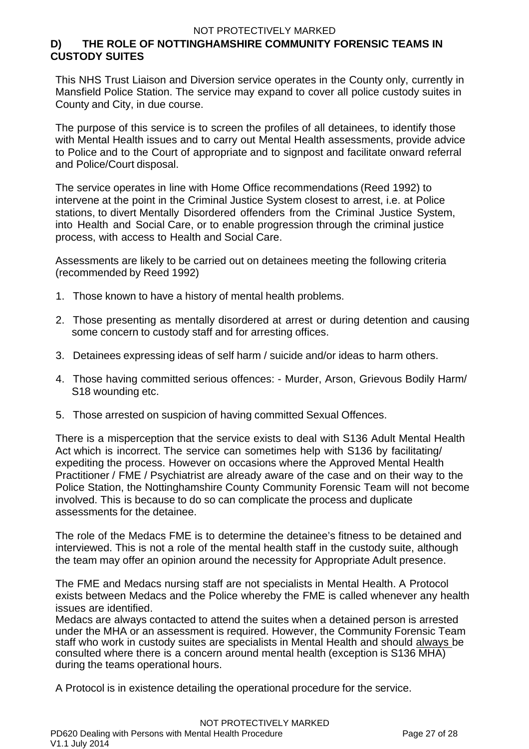# <span id="page-26-0"></span>**D) THE ROLE OF NOTTINGHAMSHIRE COMMUNITY FORENSIC TEAMS IN CUSTODY SUITES**

This NHS Trust Liaison and Diversion service operates in the County only, currently in Mansfield Police Station. The service may expand to cover all police custody suites in County and City, in due course.

The purpose of this service is to screen the profiles of all detainees, to identify those with Mental Health issues and to carry out Mental Health assessments, provide advice to Police and to the Court of appropriate and to signpost and facilitate onward referral and Police/Court disposal.

The service operates in line with Home Office recommendations (Reed 1992) to intervene at the point in the Criminal Justice System closest to arrest, i.e. at Police stations, to divert Mentally Disordered offenders from the Criminal Justice System, into Health and Social Care, or to enable progression through the criminal justice process, with access to Health and Social Care.

Assessments are likely to be carried out on detainees meeting the following criteria (recommended by Reed 1992)

- 1. Those known to have a history of mental health problems.
- 2. Those presenting as mentally disordered at arrest or during detention and causing some concern to custody staff and for arresting offices.
- 3. Detainees expressing ideas of self harm / suicide and/or ideas to harm others.
- 4. Those having committed serious offences: Murder, Arson, Grievous Bodily Harm/ S18 wounding etc.
- 5. Those arrested on suspicion of having committed Sexual Offences.

There is a misperception that the service exists to deal with S136 Adult Mental Health Act which is incorrect. The service can sometimes help with S136 by facilitating/ expediting the process. However on occasions where the Approved Mental Health Practitioner / FME / Psychiatrist are already aware of the case and on their way to the Police Station, the Nottinghamshire County Community Forensic Team will not become involved. This is because to do so can complicate the process and duplicate assessments for the detainee.

The role of the Medacs FME is to determine the detainee's fitness to be detained and interviewed. This is not a role of the mental health staff in the custody suite, although the team may offer an opinion around the necessity for Appropriate Adult presence.

The FME and Medacs nursing staff are not specialists in Mental Health. A Protocol exists between Medacs and the Police whereby the FME is called whenever any health issues are identified.

Medacs are always contacted to attend the suites when a detained person is arrested under the MHA or an assessment is required. However, the Community Forensic Team staff who work in custody suites are specialists in Mental Health and should always be consulted where there is a concern around mental health (exception is S136 MHA) during the teams operational hours.

A Protocol is in existence detailing the operational procedure for the service.